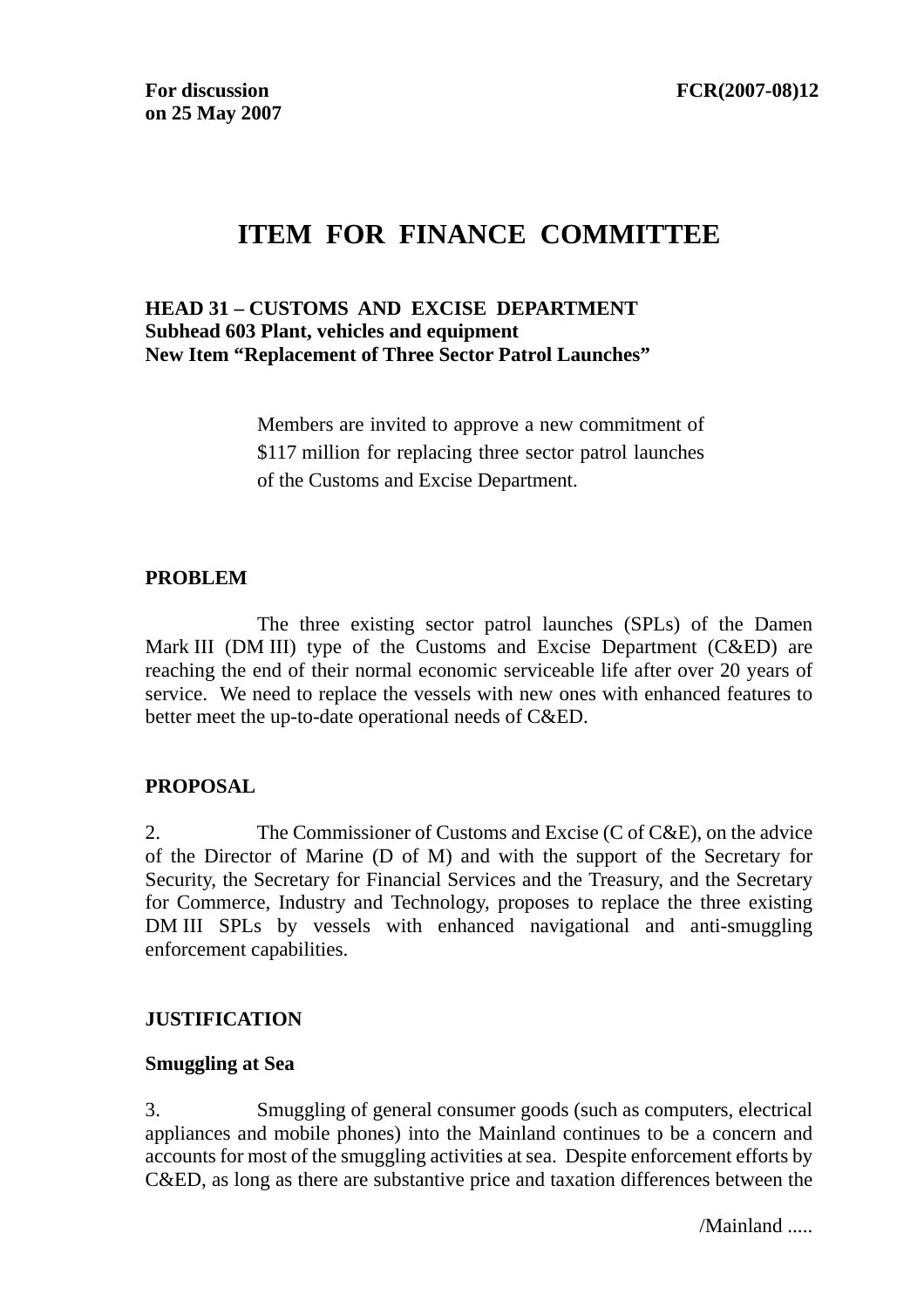# **ITEM FOR FINANCE COMMITTEE**

#### **HEAD 31 – CUSTOMS AND EXCISE DEPARTMENT Subhead 603 Plant, vehicles and equipment New Item "Replacement of Three Sector Patrol Launches"**

Members are invited to approve a new commitment of \$117 million for replacing three sector patrol launches of the Customs and Excise Department.

#### **PROBLEM**

 The three existing sector patrol launches (SPLs) of the Damen Mark III (DM III) type of the Customs and Excise Department (C&ED) are reaching the end of their normal economic serviceable life after over 20 years of service. We need to replace the vessels with new ones with enhanced features to better meet the up-to-date operational needs of C&ED.

## **PROPOSAL**

2. The Commissioner of Customs and Excise (C of C&E), on the advice of the Director of Marine (D of M) and with the support of the Secretary for Security, the Secretary for Financial Services and the Treasury, and the Secretary for Commerce, Industry and Technology, proposes to replace the three existing DM III SPLs by vessels with enhanced navigational and anti-smuggling enforcement capabilities.

## **JUSTIFICATION**

#### **Smuggling at Sea**

3. Smuggling of general consumer goods (such as computers, electrical appliances and mobile phones) into the Mainland continues to be a concern and accounts for most of the smuggling activities at sea. Despite enforcement efforts by C&ED, as long as there are substantive price and taxation differences between the

/Mainland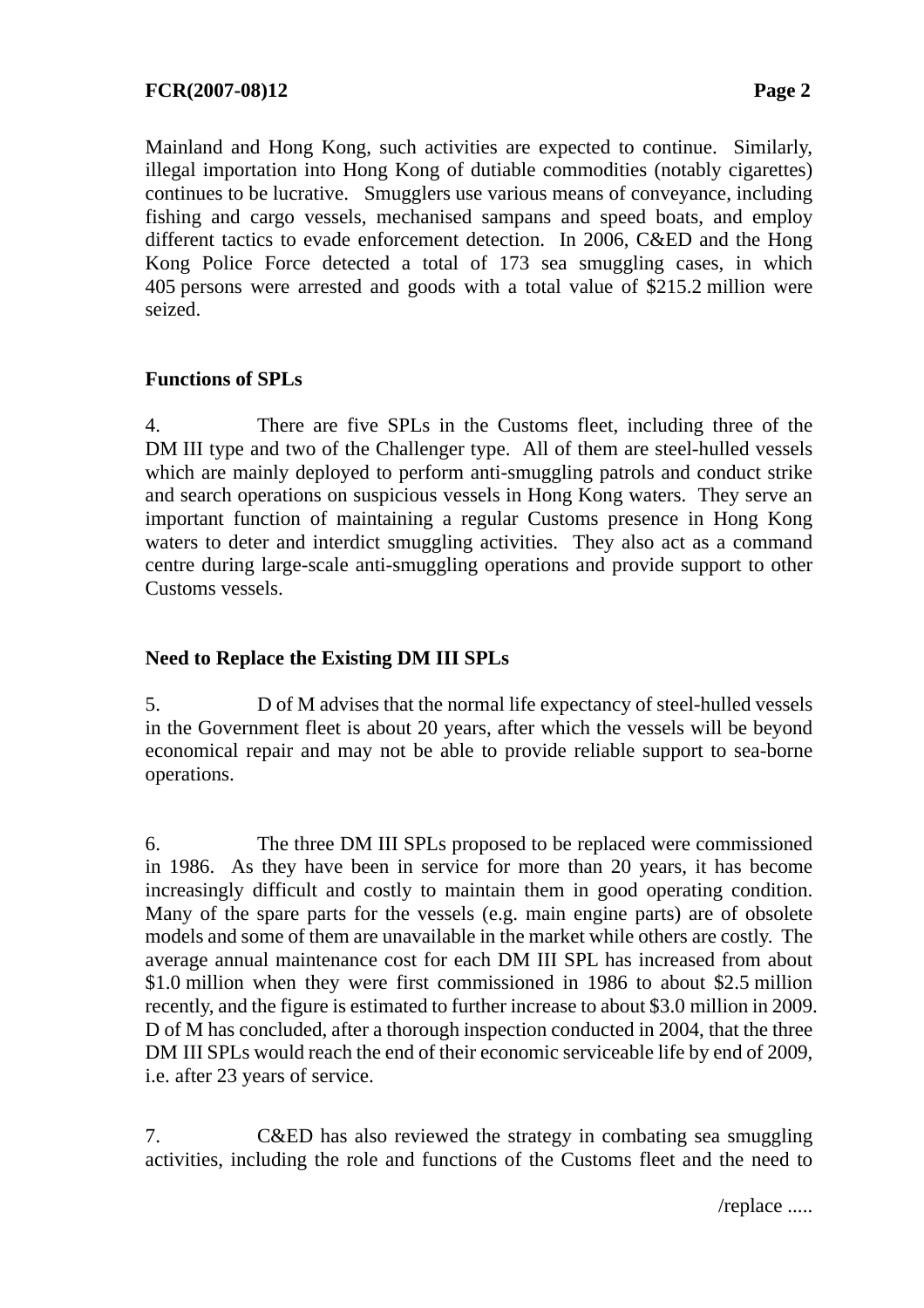Mainland and Hong Kong, such activities are expected to continue. Similarly, illegal importation into Hong Kong of dutiable commodities (notably cigarettes) continues to be lucrative. Smugglers use various means of conveyance, including fishing and cargo vessels, mechanised sampans and speed boats, and employ different tactics to evade enforcement detection. In 2006, C&ED and the Hong Kong Police Force detected a total of 173 sea smuggling cases, in which 405 persons were arrested and goods with a total value of \$215.2 million were seized.

# **Functions of SPLs**

4. There are five SPLs in the Customs fleet, including three of the DM III type and two of the Challenger type. All of them are steel-hulled vessels which are mainly deployed to perform anti-smuggling patrols and conduct strike and search operations on suspicious vessels in Hong Kong waters. They serve an important function of maintaining a regular Customs presence in Hong Kong waters to deter and interdict smuggling activities. They also act as a command centre during large-scale anti-smuggling operations and provide support to other Customs vessels.

# **Need to Replace the Existing DM III SPLs**

5. D of M advises that the normal life expectancy of steel-hulled vessels in the Government fleet is about 20 years, after which the vessels will be beyond economical repair and may not be able to provide reliable support to sea-borne operations.

6. The three DM III SPLs proposed to be replaced were commissioned in 1986. As they have been in service for more than 20 years, it has become increasingly difficult and costly to maintain them in good operating condition. Many of the spare parts for the vessels (e.g. main engine parts) are of obsolete models and some of them are unavailable in the market while others are costly. The average annual maintenance cost for each DM III SPL has increased from about \$1.0 million when they were first commissioned in 1986 to about \$2.5 million recently, and the figure is estimated to further increase to about \$3.0 million in 2009. D of M has concluded, after a thorough inspection conducted in 2004, that the three DM III SPLs would reach the end of their economic serviceable life by end of 2009, i.e. after 23 years of service.

7. C&ED has also reviewed the strategy in combating sea smuggling activities, including the role and functions of the Customs fleet and the need to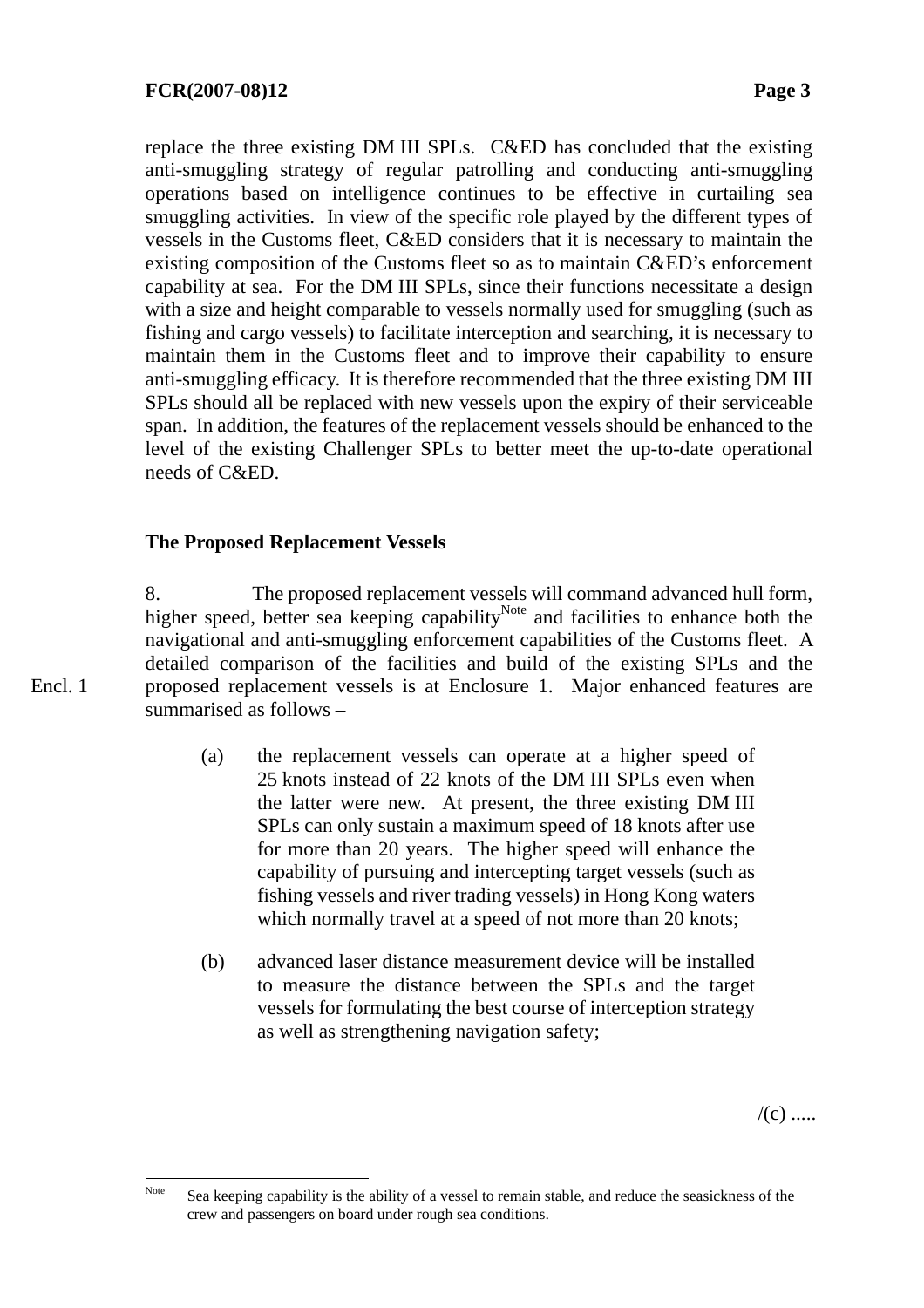replace the three existing DM III SPLs. C&ED has concluded that the existing anti-smuggling strategy of regular patrolling and conducting anti-smuggling operations based on intelligence continues to be effective in curtailing sea smuggling activities. In view of the specific role played by the different types of vessels in the Customs fleet, C&ED considers that it is necessary to maintain the existing composition of the Customs fleet so as to maintain C&ED's enforcement capability at sea. For the DM III SPLs, since their functions necessitate a design with a size and height comparable to vessels normally used for smuggling (such as fishing and cargo vessels) to facilitate interception and searching, it is necessary to maintain them in the Customs fleet and to improve their capability to ensure anti-smuggling efficacy. It is therefore recommended that the three existing DM III SPLs should all be replaced with new vessels upon the expiry of their serviceable span. In addition, the features of the replacement vessels should be enhanced to the level of the existing Challenger SPLs to better meet the up-to-date operational needs of C&ED.

## **The Proposed Replacement Vessels**

8. The proposed replacement vessels will command advanced hull form, higher speed, better sea keeping capability<sup>Note</sup> and facilities to enhance both the navigational and anti-smuggling enforcement capabilities of the Customs fleet. A detailed comparison of the facilities and build of the existing SPLs and the proposed replacement vessels is at Enclosure 1. Major enhanced features are summarised as follows –

- (a) the replacement vessels can operate at a higher speed of 25 knots instead of 22 knots of the DM III SPLs even when the latter were new. At present, the three existing DM III SPLs can only sustain a maximum speed of 18 knots after use for more than 20 years. The higher speed will enhance the capability of pursuing and intercepting target vessels (such as fishing vessels and river trading vessels) in Hong Kong waters which normally travel at a speed of not more than 20 knots;
- (b) advanced laser distance measurement device will be installed to measure the distance between the SPLs and the target vessels for formulating the best course of interception strategy as well as strengthening navigation safety;

 $/(c)$  .....

Encl. 1

Note Sea keeping capability is the ability of a vessel to remain stable, and reduce the seasickness of the crew and passengers on board under rough sea conditions.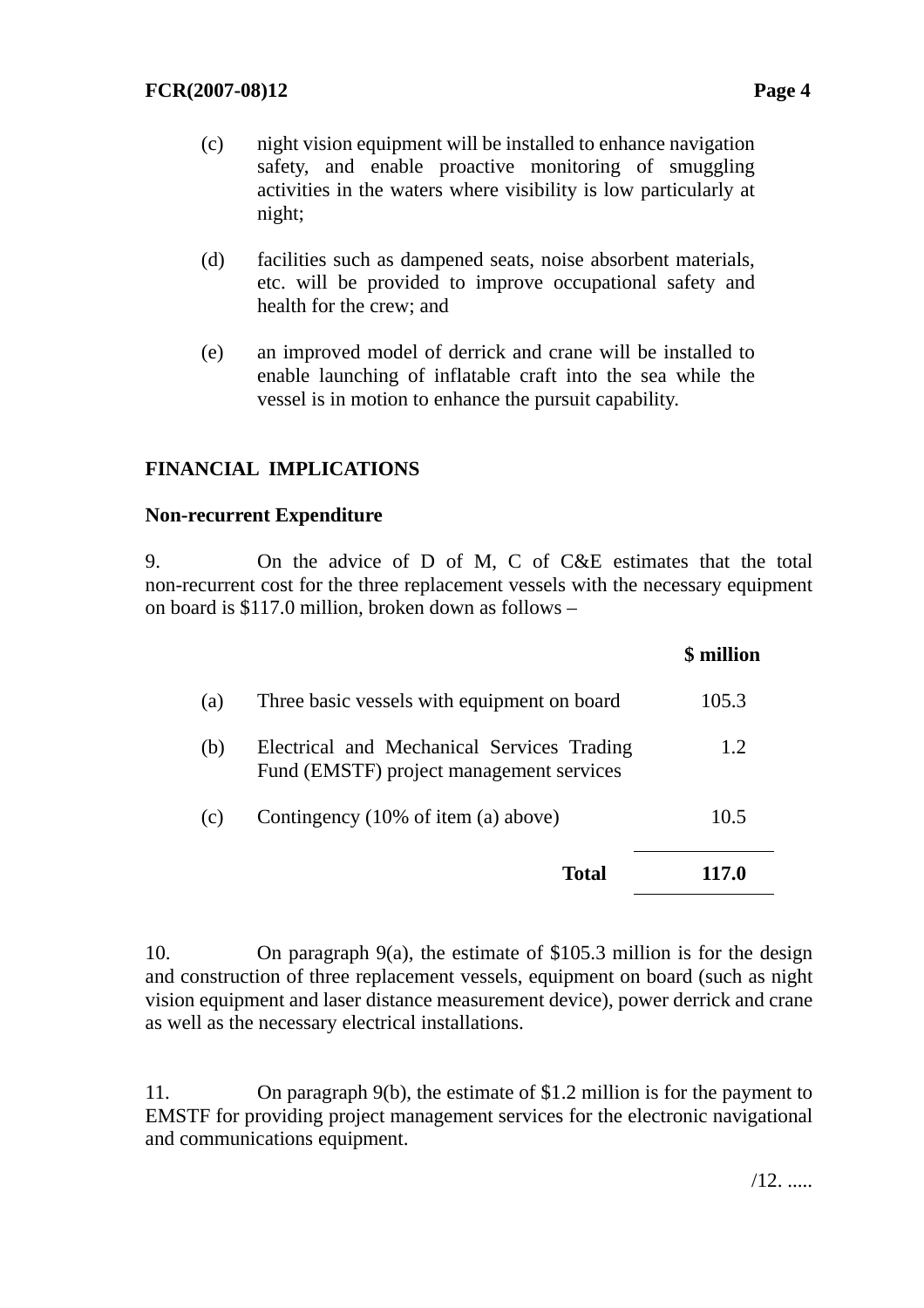- (c) night vision equipment will be installed to enhance navigation safety, and enable proactive monitoring of smuggling activities in the waters where visibility is low particularly at night;
- (d) facilities such as dampened seats, noise absorbent materials, etc. will be provided to improve occupational safety and health for the crew; and
- (e) an improved model of derrick and crane will be installed to enable launching of inflatable craft into the sea while the vessel is in motion to enhance the pursuit capability.

# **FINANCIAL IMPLICATIONS**

#### **Non-recurrent Expenditure**

9. On the advice of D of M, C of C&E estimates that the total non-recurrent cost for the three replacement vessels with the necessary equipment on board is \$117.0 million*,* broken down as follows –

|     |                                                                                        | \$ million |
|-----|----------------------------------------------------------------------------------------|------------|
| (a) | Three basic vessels with equipment on board                                            | 105.3      |
| (b) | Electrical and Mechanical Services Trading<br>Fund (EMSTF) project management services | 1.2        |
| (c) | Contingency (10% of item (a) above)                                                    | 10.5       |
|     | <b>Total</b>                                                                           | 117.0      |

10. On paragraph 9(a), the estimate of \$105.3 million is for the design and construction of three replacement vessels, equipment on board (such as night vision equipment and laser distance measurement device), power derrick and crane as well as the necessary electrical installations.

11. On paragraph 9(b), the estimate of \$1.2 million is for the payment to EMSTF for providing project management services for the electronic navigational and communications equipment.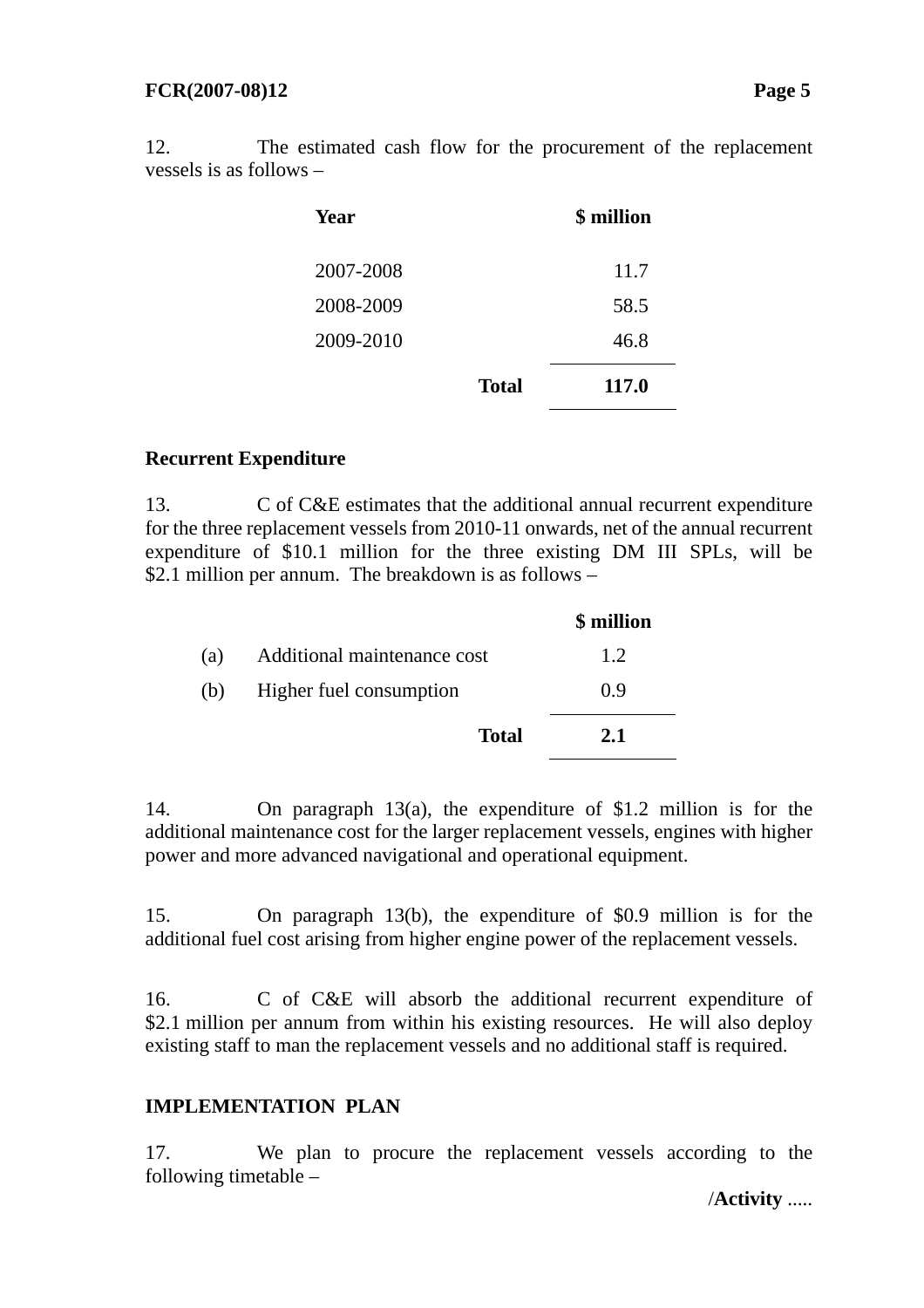12. The estimated cash flow for the procurement of the replacement vessels is as follows –

| Year      |              | \$ million |
|-----------|--------------|------------|
| 2007-2008 |              | 11.7       |
| 2008-2009 |              | 58.5       |
| 2009-2010 |              | 46.8       |
|           | <b>Total</b> | 117.0      |

## **Recurrent Expenditure**

13. C of C&E estimates that the additional annual recurrent expenditure for the three replacement vessels from 2010-11 onwards, net of the annual recurrent expenditure of \$10.1 million for the three existing DM III SPLs, will be \$2.1 million per annum. The breakdown is as follows –

|     |                             | \$ million |
|-----|-----------------------------|------------|
| (a) | Additional maintenance cost | 1.2.       |
| (b) | Higher fuel consumption     | 0.9        |
|     | <b>Total</b>                | 2.1        |

14. On paragraph 13(a), the expenditure of \$1.2 million is for the additional maintenance cost for the larger replacement vessels, engines with higher power and more advanced navigational and operational equipment.

15. On paragraph 13(b), the expenditure of \$0.9 million is for the additional fuel cost arising from higher engine power of the replacement vessels.

16. C of C&E will absorb the additional recurrent expenditure of \$2.1 million per annum from within his existing resources. He will also deploy existing staff to man the replacement vessels and no additional staff is required.

# **IMPLEMENTATION PLAN**

17. We plan to procure the replacement vessels according to the following timetable –

/**Activity** .....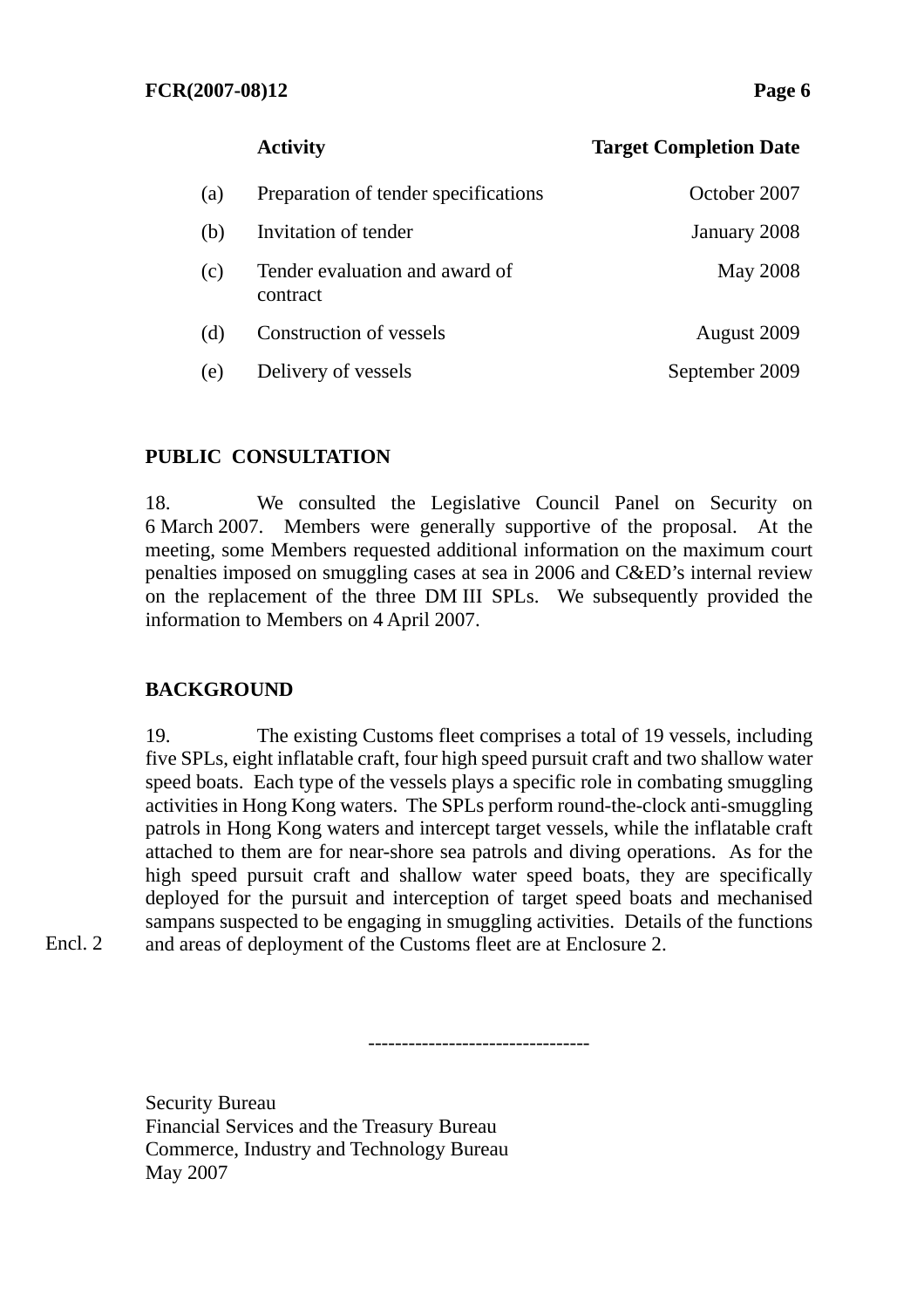# **Activity Target Completion Date** (a) Preparation of tender specifications October 2007 (b) Invitation of tender January 2008 (c) Tender evaluation and award of contract May 2008 (d) Construction of vessels August 2009 (e) Delivery of vessels September 2009

#### **PUBLIC CONSULTATION**

18. We consulted the Legislative Council Panel on Security on 6 March 2007. Members were generally supportive of the proposal. At the meeting, some Members requested additional information on the maximum court penalties imposed on smuggling cases at sea in 2006 and C&ED's internal review on the replacement of the three DM III SPLs. We subsequently provided the information to Members on 4 April 2007.

#### **BACKGROUND**

19. The existing Customs fleet comprises a total of 19 vessels, including five SPLs, eight inflatable craft, four high speed pursuit craft and two shallow water speed boats. Each type of the vessels plays a specific role in combating smuggling activities in Hong Kong waters. The SPLs perform round-the-clock anti-smuggling patrols in Hong Kong waters and intercept target vessels, while the inflatable craft attached to them are for near-shore sea patrols and diving operations. As for the high speed pursuit craft and shallow water speed boats, they are specifically deployed for the pursuit and interception of target speed boats and mechanised sampans suspected to be engaging in smuggling activities. Details of the functions and areas of deployment of the Customs fleet are at Enclosure 2.

---------------------------------

Encl. 2

Security Bureau Financial Services and the Treasury Bureau Commerce, Industry and Technology Bureau May 2007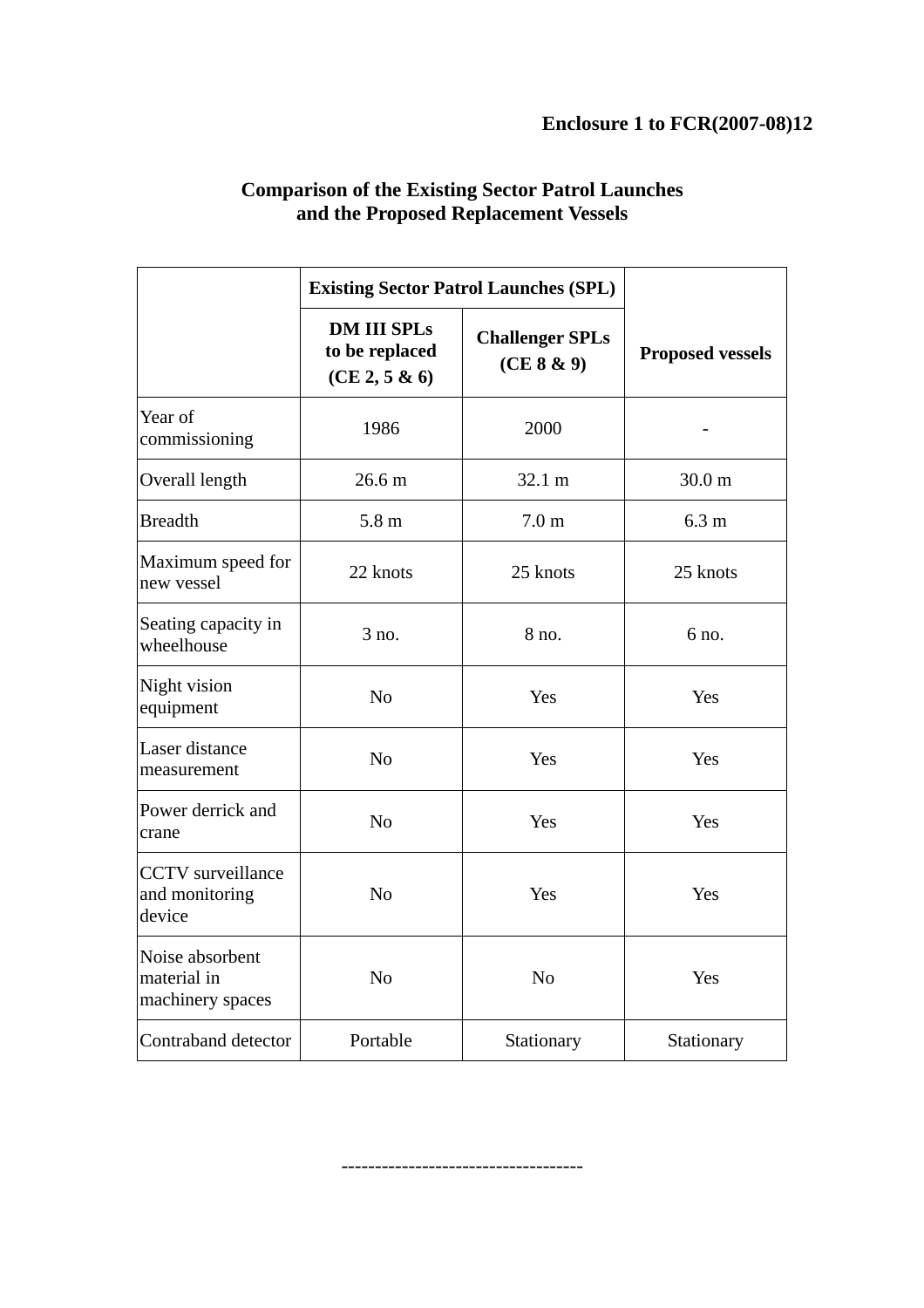|                                                                        | <b>Existing Sector Patrol Launches (SPL)</b>          |                                      |                         |
|------------------------------------------------------------------------|-------------------------------------------------------|--------------------------------------|-------------------------|
|                                                                        | <b>DM III SPLs</b><br>to be replaced<br>(CE 2, 5 & 6) | <b>Challenger SPLs</b><br>(CE 8 & 9) | <b>Proposed vessels</b> |
| Year of<br>commissioning                                               | 1986                                                  | 2000                                 |                         |
| Overall length                                                         | 26.6 <sub>m</sub>                                     | 32.1 m                               | 30.0 <sub>m</sub>       |
| <b>Breadth</b>                                                         | 5.8 <sub>m</sub><br>7.0 <sub>m</sub>                  |                                      | 6.3 <sub>m</sub>        |
| Maximum speed for<br>22 knots<br>new vessel                            |                                                       | 25 knots                             | 25 knots                |
| Seating capacity in<br>wheelhouse                                      | 3 no.                                                 | 8 no.                                | 6 no.                   |
| Night vision<br>equipment                                              | N <sub>o</sub>                                        | Yes                                  | Yes                     |
| Laser distance<br>measurement                                          | N <sub>o</sub>                                        | Yes                                  | Yes                     |
| Power derrick and<br>crane                                             | N <sub>o</sub>                                        |                                      | Yes                     |
| <b>CCTV</b> surveillance<br>and monitoring<br>N <sub>0</sub><br>device |                                                       | Yes                                  | Yes                     |
| Noise absorbent<br>material in<br>machinery spaces                     | N <sub>0</sub>                                        | N <sub>o</sub>                       | Yes                     |
| Contraband detector                                                    | Portable                                              | Stationary                           | Stationary              |

## **Comparison of the Existing Sector Patrol Launches and the Proposed Replacement Vessels**

------------------------------------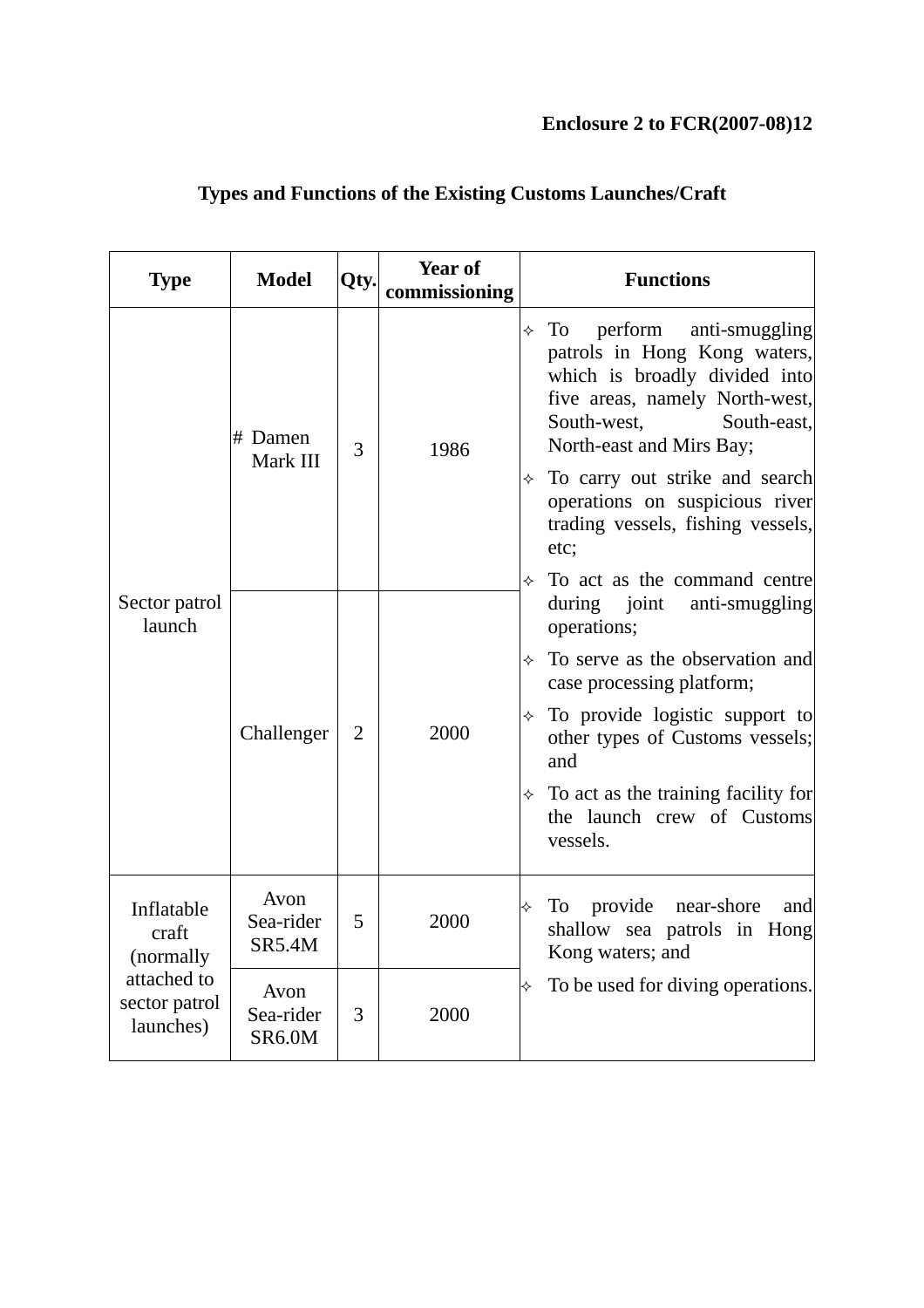# **Enclosure 2 to FCR(2007-08)12**

| <b>Type</b>                               | <b>Model</b>                       | Qty.           | Year of<br>commissioning | <b>Functions</b>                                                                                                                                                                               |
|-------------------------------------------|------------------------------------|----------------|--------------------------|------------------------------------------------------------------------------------------------------------------------------------------------------------------------------------------------|
|                                           | # Damen<br>Mark III                | 3              | 1986                     | perform anti-smuggling<br>To<br>✧<br>patrols in Hong Kong waters,<br>which is broadly divided into<br>five areas, namely North-west,<br>South-west,<br>South-east,<br>North-east and Mirs Bay; |
| Sector patrol<br>launch                   |                                    |                |                          | To carry out strike and search<br>✧<br>operations on suspicious river<br>trading vessels, fishing vessels,<br>etc;                                                                             |
|                                           | Challenger                         | $\overline{2}$ | 2000                     | To act as the command centre<br>during joint<br>anti-smuggling<br>operations;                                                                                                                  |
|                                           |                                    |                |                          | To serve as the observation and<br>✧<br>case processing platform;                                                                                                                              |
|                                           |                                    |                |                          | To provide logistic support to<br>✧<br>other types of Customs vessels;<br>and                                                                                                                  |
|                                           |                                    |                |                          | $\div$ To act as the training facility for<br>the launch crew of Customs<br>vessels.                                                                                                           |
| Inflatable<br>craft<br>(normally          | Avon<br>Sea-rider<br><b>SR5.4M</b> | 5              | 2000                     | provide near-shore<br>To<br>and<br>✧<br>shallow sea patrols in Hong<br>Kong waters; and                                                                                                        |
| attached to<br>sector patrol<br>launches) | Avon<br>Sea-rider<br>SR6.0M        | 3              | 2000                     | To be used for diving operations.<br>$\rightsquigarrow$                                                                                                                                        |

# **Types and Functions of the Existing Customs Launches/Craft**